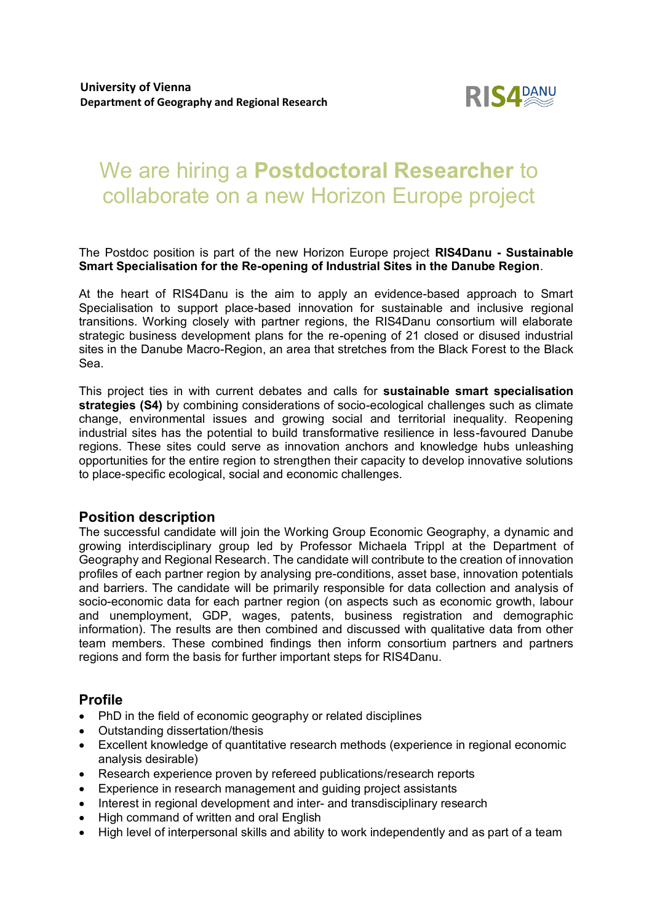

# We are hiring a **Postdoctoral Researcher** to collaborate on a new Horizon Europe project

The Postdoc position is part of the new Horizon Europe project **RIS4Danu - Sustainable Smart Specialisation for the Re-opening of Industrial Sites in the Danube Region**.

At the heart of RIS4Danu is the aim to apply an evidence-based approach to Smart Specialisation to support place-based innovation for sustainable and inclusive regional transitions. Working closely with partner regions, the RIS4Danu consortium will elaborate strategic business development plans for the re-opening of 21 closed or disused industrial sites in the Danube Macro-Region, an area that stretches from the Black Forest to the Black Sea.

This project ties in with current debates and calls for **sustainable smart specialisation strategies (S4)** by combining considerations of socio-ecological challenges such as climate change, environmental issues and growing social and territorial inequality. Reopening industrial sites has the potential to build transformative resilience in less-favoured Danube regions. These sites could serve as innovation anchors and knowledge hubs unleashing opportunities for the entire region to strengthen their capacity to develop innovative solutions to place-specific ecological, social and economic challenges.

# **Position description**

The successful candidate will join the Working Group Economic Geography, a dynamic and growing interdisciplinary group led by Professor Michaela Trippl at the Department of Geography and Regional Research. The candidate will contribute to the creation of innovation profiles of each partner region by analysing pre-conditions, asset base, innovation potentials and barriers. The candidate will be primarily responsible for data collection and analysis of socio-economic data for each partner region (on aspects such as economic growth, labour and unemployment, GDP, wages, patents, business registration and demographic information). The results are then combined and discussed with qualitative data from other team members. These combined findings then inform consortium partners and partners regions and form the basis for further important steps for RIS4Danu.

# **Profile**

- PhD in the field of economic geography or related disciplines
- Outstanding dissertation/thesis
- Excellent knowledge of quantitative research methods (experience in regional economic analysis desirable)
- Research experience proven by refereed publications/research reports
- Experience in research management and guiding project assistants
- Interest in regional development and inter- and transdisciplinary research
- High command of written and oral English
- High level of interpersonal skills and ability to work independently and as part of a team